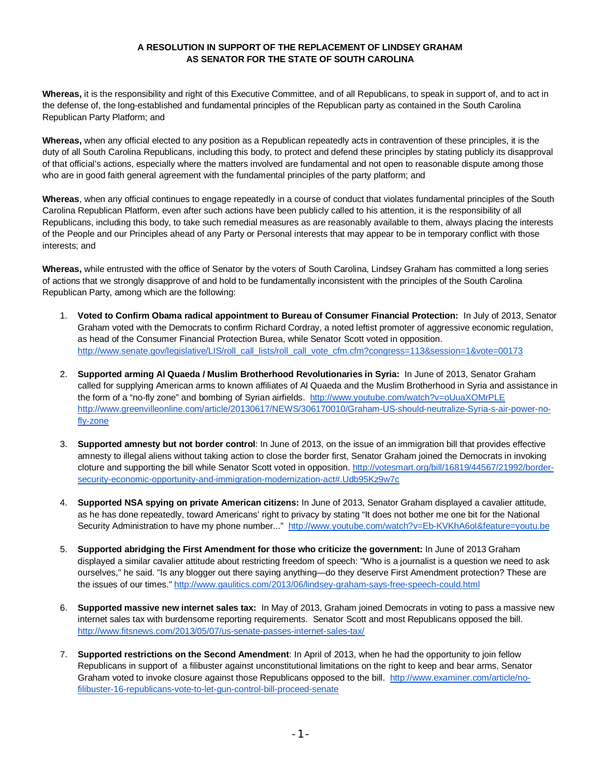## **A RESOLUTION IN SUPPORT OF THE REPLACEMENT OF LINDSEY GRAHAM AS SENATOR FOR THE STATE OF SOUTH CAROLINA**

**Whereas,** it is the responsibility and right of this Executive Committee, and of all Republicans, to speak in support of, and to act in the defense of, the long-established and fundamental principles of the Republican party as contained in the South Carolina Republican Party Platform; and

**Whereas,** when any official elected to any position as a Republican repeatedly acts in contravention of these principles, it is the duty of all South Carolina Republicans, including this body, to protect and defend these principles by stating publicly its disapproval of that official's actions, especially where the matters involved are fundamental and not open to reasonable dispute among those who are in good faith general agreement with the fundamental principles of the party platform; and

**Whereas**, when any official continues to engage repeatedly in a course of conduct that violates fundamental principles of the South Carolina Republican Platform, even after such actions have been publicly called to his attention, it is the responsibility of all Republicans, including this body, to take such remedial measures as are reasonably available to them, always placing the interests of the People and our Principles ahead of any Party or Personal interests that may appear to be in temporary conflict with those interests; and

**Whereas,** while entrusted with the office of Senator by the voters of South Carolina, Lindsey Graham has committed a long series of actions that we strongly disapprove of and hold to be fundamentally inconsistent with the principles of the South Carolina Republican Party, among which are the following:

- 1. **Voted to Confirm Obama radical appointment to Bureau of Consumer Financial Protection:** In July of 2013, Senator Graham voted with the Democrats to confirm Richard Cordray, a noted leftist promoter of aggressive economic regulation, as head of the Consumer Financial Protection Burea, while Senator Scott voted in opposition. http://www.senate.gov/legislative/LIS/roll\_call\_lists/roll\_call\_vote\_cfm.cfm?congress=113&session=1&vote=00173
- 2. **Supported arming Al Quaeda / Muslim Brotherhood Revolutionaries in Syria:** In June of 2013, Senator Graham called for supplying American arms to known affiliates of Al Quaeda and the Muslim Brotherhood in Syria and assistance in the form of a "no-fly zone" and bombing of Syrian airfields. http://www.youtube.com/watch?v=oUuaXOMrPLE http://www.greenvilleonline.com/article/20130617/NEWS/306170010/Graham-US-should-neutralize-Syria-s-air-power-nofly-zone
- 3. **Supported amnesty but not border control**: In June of 2013, on the issue of an immigration bill that provides effective amnesty to illegal aliens without taking action to close the border first, Senator Graham joined the Democrats in invoking cloture and supporting the bill while Senator Scott voted in opposition. http://votesmart.org/bill/16819/44567/21992/bordersecurity-economic-opportunity-and-immigration-modernization-act#.Udb95Kz9w7c
- 4. **Supported NSA spying on private American citizens:** In June of 2013, Senator Graham displayed a cavalier attitude, as he has done repeatedly, toward Americans' right to privacy by stating "It does not bother me one bit for the National Security Administration to have my phone number..." http://www.youtube.com/watch?v=Eb-KVKhA6oI&feature=youtu.be
- 5. **Supported abridging the First Amendment for those who criticize the government:** In June of 2013 Graham displayed a similar cavalier attitude about restricting freedom of speech: "Who is a journalist is a question we need to ask ourselves," he said. "Is any blogger out there saying anything—do they deserve First Amendment protection? These are the issues of our times." http://www.gaulitics.com/2013/06/lindsey-graham-says-free-speech-could.html
- 6. **Supported massive new internet sales tax:** In May of 2013, Graham joined Democrats in voting to pass a massive new internet sales tax with burdensome reporting requirements. Senator Scott and most Republicans opposed the bill. http://www.fitsnews.com/2013/05/07/us-senate-passes-internet-sales-tax/
- 7. **Supported restrictions on the Second Amendment**: In April of 2013, when he had the opportunity to join fellow Republicans in support of a filibuster against unconstitutional limitations on the right to keep and bear arms, Senator Graham voted to invoke closure against those Republicans opposed to the bill. http://www.examiner.com/article/nofilibuster-16-republicans-vote-to-let-gun-control-bill-proceed-senate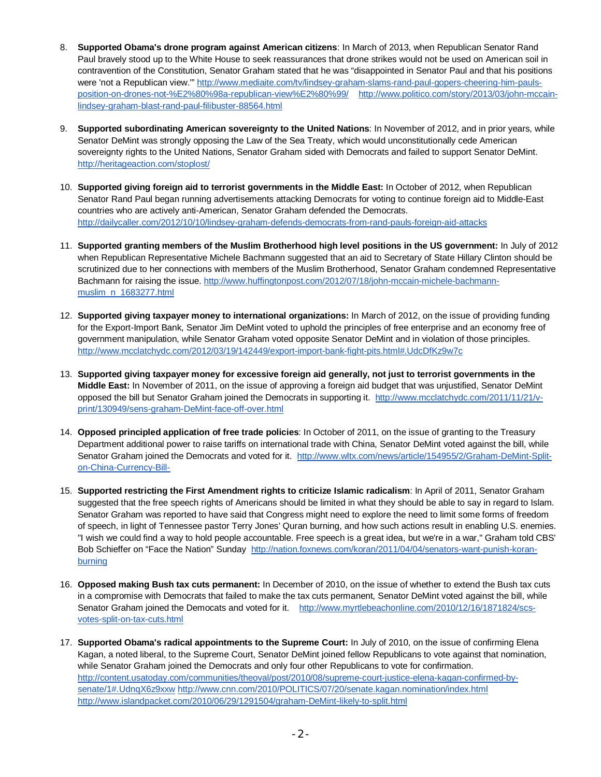- 8. **Supported Obama's drone program against American citizens**: In March of 2013, when Republican Senator Rand Paul bravely stood up to the White House to seek reassurances that drone strikes would not be used on American soil in contravention of the Constitution, Senator Graham stated that he was "disappointed in Senator Paul and that his positions were 'not a Republican view.'" http://www.mediaite.com/tv/lindsey-graham-slams-rand-paul-gopers-cheering-him-paulsposition-on-drones-not-%E2%80%98a-republican-view%E2%80%99/ http://www.politico.com/story/2013/03/john-mccainlindsey-graham-blast-rand-paul-filibuster-88564.html
- 9. **Supported subordinating American sovereignty to the United Nations**: In November of 2012, and in prior years, while Senator DeMint was strongly opposing the Law of the Sea Treaty, which would unconstitutionally cede American sovereignty rights to the United Nations, Senator Graham sided with Democrats and failed to support Senator DeMint. http://heritageaction.com/stoplost/
- 10. **Supported giving foreign aid to terrorist governments in the Middle East:** In October of 2012, when Republican Senator Rand Paul began running advertisements attacking Democrats for voting to continue foreign aid to Middle-East countries who are actively anti-American, Senator Graham defended the Democrats. http://dailycaller.com/2012/10/10/lindsey-graham-defends-democrats-from-rand-pauls-foreign-aid-attacks
- 11. **Supported granting members of the Muslim Brotherhood high level positions in the US government:** In July of 2012 when Republican Representative Michele Bachmann suggested that an aid to Secretary of State Hillary Clinton should be scrutinized due to her connections with members of the Muslim Brotherhood, Senator Graham condemned Representative Bachmann for raising the issue. http://www.huffingtonpost.com/2012/07/18/john-mccain-michele-bachmannmuslim\_n\_1683277.html
- 12. **Supported giving taxpayer money to international organizations:** In March of 2012, on the issue of providing funding for the Export-Import Bank, Senator Jim DeMint voted to uphold the principles of free enterprise and an economy free of government manipulation, while Senator Graham voted opposite Senator DeMint and in violation of those principles. http://www.mcclatchydc.com/2012/03/19/142449/export-import-bank-fight-pits.html#.UdcDfKz9w7c
- 13. **Supported giving taxpayer money for excessive foreign aid generally, not just to terrorist governments in the Middle East:** In November of 2011, on the issue of approving a foreign aid budget that was unjustified, Senator DeMint opposed the bill but Senator Graham joined the Democrats in supporting it. http://www.mcclatchydc.com/2011/11/21/vprint/130949/sens-graham-DeMint-face-off-over.html
- 14. **Opposed principled application of free trade policies**: In October of 2011, on the issue of granting to the Treasury Department additional power to raise tariffs on international trade with China, Senator DeMint voted against the bill, while Senator Graham joined the Democrats and voted for it. http://www.wltx.com/news/article/154955/2/Graham-DeMint-Spliton-China-Currency-Bill-
- 15. **Supported restricting the First Amendment rights to criticize Islamic radicalism**: In April of 2011, Senator Graham suggested that the free speech rights of Americans should be limited in what they should be able to say in regard to Islam. Senator Graham was reported to have said that Congress might need to explore the need to limit some forms of freedom of speech, in light of Tennessee pastor Terry Jones' Quran burning, and how such actions result in enabling U.S. enemies. "I wish we could find a way to hold people accountable. Free speech is a great idea, but we're in a war," Graham told CBS' Bob Schieffer on "Face the Nation" Sunday http://nation.foxnews.com/koran/2011/04/04/senators-want-punish-koranburning
- 16. **Opposed making Bush tax cuts permanent:** In December of 2010, on the issue of whether to extend the Bush tax cuts in a compromise with Democrats that failed to make the tax cuts permanent, Senator DeMint voted against the bill, while Senator Graham joined the Democats and voted for it. http://www.myrtlebeachonline.com/2010/12/16/1871824/scsvotes-split-on-tax-cuts.html
- 17. **Supported Obama's radical appointments to the Supreme Court:** In July of 2010, on the issue of confirming Elena Kagan, a noted liberal, to the Supreme Court, Senator DeMint joined fellow Republicans to vote against that nomination, while Senator Graham joined the Democrats and only four other Republicans to vote for confirmation. http://content.usatoday.com/communities/theoval/post/2010/08/supreme-court-justice-elena-kagan-confirmed-bysenate/1#.UdnqX6z9xxw http://www.cnn.com/2010/POLITICS/07/20/senate.kagan.nomination/index.html http://www.islandpacket.com/2010/06/29/1291504/graham-DeMint-likely-to-split.html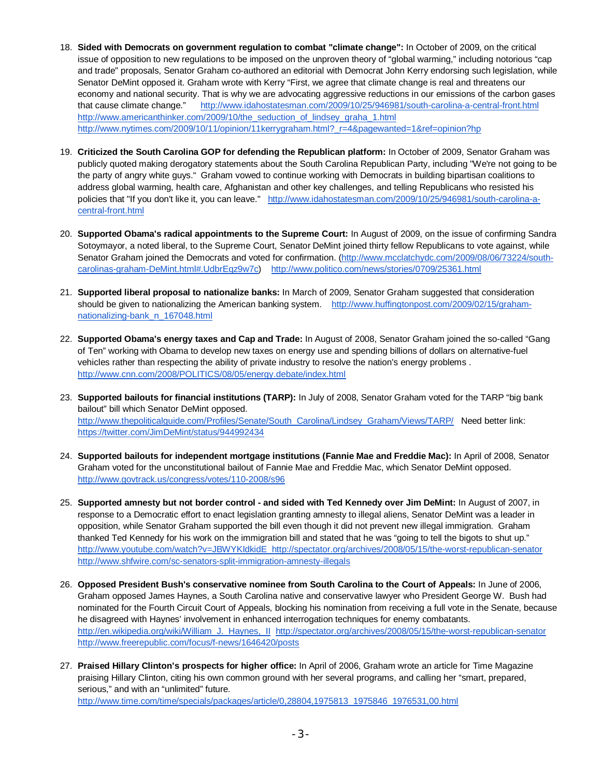- 18. **Sided with Democrats on government regulation to combat "climate change":** In October of 2009, on the critical issue of opposition to new regulations to be imposed on the unproven theory of "global warming," including notorious "cap and trade" proposals, Senator Graham co-authored an editorial with Democrat John Kerry endorsing such legislation, while Senator DeMint opposed it. Graham wrote with Kerry "First, we agree that climate change is real and threatens our economy and national security. That is why we are advocating aggressive reductions in our emissions of the carbon gases that cause climate change." http://www.idahostatesman.com/2009/10/25/946981/south-carolina-a-central-front.html http://www.americanthinker.com/2009/10/the\_seduction\_of\_lindsey\_graha\_1.html http://www.nytimes.com/2009/10/11/opinion/11kerrygraham.html?\_r=4&pagewanted=1&ref=opinion?hp
- 19. **Criticized the South Carolina GOP for defending the Republican platform:** In October of 2009, Senator Graham was publicly quoted making derogatory statements about the South Carolina Republican Party, including "We're not going to be the party of angry white guys." Graham vowed to continue working with Democrats in building bipartisan coalitions to address global warming, health care, Afghanistan and other key challenges, and telling Republicans who resisted his policies that "If you don't like it, you can leave." http://www.idahostatesman.com/2009/10/25/946981/south-carolina-acentral-front.html
- 20. **Supported Obama's radical appointments to the Supreme Court:** In August of 2009, on the issue of confirming Sandra Sotoymayor, a noted liberal, to the Supreme Court, Senator DeMint joined thirty fellow Republicans to vote against, while Senator Graham joined the Democrats and voted for confirmation. (http://www.mcclatchydc.com/2009/08/06/73224/southcarolinas-graham-DeMint.html#.UdbrEqz9w7c) http://www.politico.com/news/stories/0709/25361.html
- 21. **Supported liberal proposal to nationalize banks:** In March of 2009, Senator Graham suggested that consideration should be given to nationalizing the American banking system. http://www.huffingtonpost.com/2009/02/15/grahamnationalizing-bank\_n\_167048.html
- 22. **Supported Obama's energy taxes and Cap and Trade:** In August of 2008, Senator Graham joined the so-called "Gang of Ten" working with Obama to develop new taxes on energy use and spending billions of dollars on alternative-fuel vehicles rather than respecting the ability of private industry to resolve the nation's energy problems . http://www.cnn.com/2008/POLITICS/08/05/energy.debate/index.html
- 23. **Supported bailouts for financial institutions (TARP):** In July of 2008, Senator Graham voted for the TARP "big bank bailout" bill which Senator DeMint opposed. http://www.thepoliticalguide.com/Profiles/Senate/South\_Carolina/Lindsey\_Graham/Views/TARP/ Need better link: https://twitter.com/JimDeMint/status/944992434
- 24. **Supported bailouts for independent mortgage institutions (Fannie Mae and Freddie Mac):** In April of 2008, Senator Graham voted for the unconstitutional bailout of Fannie Mae and Freddie Mac, which Senator DeMint opposed. http://www.govtrack.us/congress/votes/110-2008/s96
- 25. **Supported amnesty but not border control and sided with Ted Kennedy over Jim DeMint:** In August of 2007, in response to a Democratic effort to enact legislation granting amnesty to illegal aliens, Senator DeMint was a leader in opposition, while Senator Graham supported the bill even though it did not prevent new illegal immigration. Graham thanked Ted Kennedy for his work on the immigration bill and stated that he was "going to tell the bigots to shut up." http://www.youtube.com/watch?v=JBWYKIdkidE http://spectator.org/archives/2008/05/15/the-worst-republican-senator http://www.shfwire.com/sc-senators-split-immigration-amnesty-illegals
- 26. **Opposed President Bush's conservative nominee from South Carolina to the Court of Appeals:** In June of 2006, Graham opposed James Haynes, a South Carolina native and conservative lawyer who President George W. Bush had nominated for the Fourth Circuit Court of Appeals, blocking his nomination from receiving a full vote in the Senate, because he disagreed with Haynes' involvement in enhanced interrogation techniques for enemy combatants. http://en.wikipedia.org/wiki/William\_J.\_Haynes,\_II http://spectator.org/archives/2008/05/15/the-worst-republican-senator http://www.freerepublic.com/focus/f-news/1646420/posts
- 27. **Praised Hillary Clinton's prospects for higher office:** In April of 2006, Graham wrote an article for Time Magazine praising Hillary Clinton, citing his own common ground with her several programs, and calling her "smart, prepared, serious," and with an "unlimited" future.

http://www.time.com/time/specials/packages/article/0,28804,1975813\_1975846\_1976531,00.html